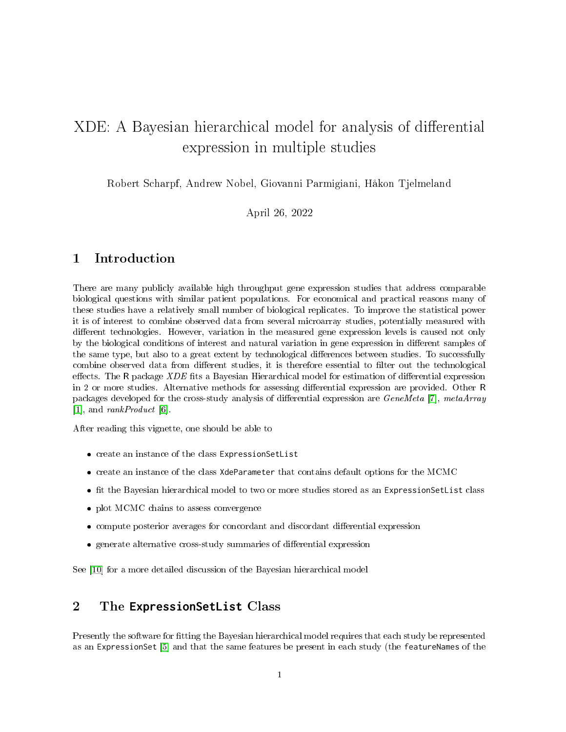# XDE: A Bayesian hierarchical model for analysis of differential expression in multiple studies

Robert Scharpf, Andrew Nobel, Giovanni Parmigiani, Håkon Tjelmeland

April 26, 2022

# 1 Introduction

There are many publicly available high throughput gene expression studies that address comparable biological questions with similar patient populations. For economical and practical reasons many of these studies have a relatively small number of biological replicates. To improve the statistical power it is of interest to combine observed data from several microarray studies, potentially measured with different technologies. However, variation in the measured gene expression levels is caused not only by the biological conditions of interest and natural variation in gene expression in different samples of the same type, but also to a great extent by technological differences between studies. To successfully combine observed data from different studies, it is therefore essential to filter out the technological effects. The R package  $XDE$  fits a Bayesian Hierarchical model for estimation of differential expression in 2 or more studies. Alternative methods for assessing differential expression are provided. Other R packages developed for the cross-study analysis of differential expression are *GeneMeta* [\[7\]](#page-12-0), metaArray [\[1\]](#page-12-1), and rankProduct [\[6\]](#page-12-2).

After reading this vignette, one should be able to

- create an instance of the class ExpressionSetList
- create an instance of the class XdeParameter that contains default options for the MCMC
- t the Bayesian hierarchical model to two or more studies stored as an ExpressionSetList class
- plot MCMC chains to assess convergence
- compute posterior averages for concordant and discordant differential expression
- generate alternative cross-study summaries of differential expression

See [\[10\]](#page-13-0) for a more detailed discussion of the Bayesian hierarchical model

# 2 The **ExpressionSetList** Class

Presently the software for tting the Bayesian hierarchical model requires that each study be represented as an ExpressionSet [\[5\]](#page-12-3) and that the same features be present in each study (the featureNames of the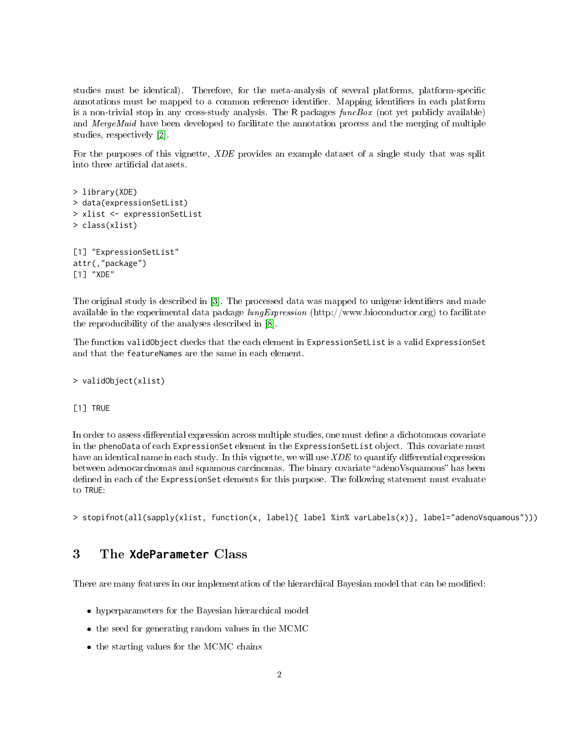studies must be identical). Therefore, for the meta-analysis of several platforms, platform-specific annotations must be mapped to a common reference identifier. Mapping identifiers in each platform is a non-trivial stop in any cross-study analysis. The  $\mathsf R$  packages funcBox (not yet publicly available) and MergeMaid have been developed to facilitate the annotation process and the merging of multiple studies, respectively [\[2\]](#page-12-4).

For the purposes of this vignette, XDE provides an example dataset of a single study that was split into three artificial datasets.

```
> library(XDE)
> data(expressionSetList)
> xlist <- expressionSetList
> class(xlist)
[1] "ExpressionSetList"
attr(,"package")
[1] "XDE"
```
The original study is described in [\[3\]](#page-12-5). The processed data was mapped to unigene identifiers and made available in the experimental data package  $\ell_1$  lung Expression (http://www.bioconductor.org) to facilitate the reproducibility of the analyses described in [\[8\]](#page-12-6).

The function validObject checks that the each element in ExpressionSetList is a valid ExpressionSet and that the featureNames are the same in each element.

#### > validObject(xlist)

#### [1] TRUE

In order to assess differential expression across multiple studies, one must define a dichotomous covariate in the phenoData of each ExpressionSet element in the ExpressionSetList object. This covariate must have an identical name in each study. In this vignette, we will use  $XDE$  to quantify differential expression between adenocarcinomas and squamous carcinomas. The binary covariate "adenoVsquamous" has been defined in each of the ExpressionSet elements for this purpose. The following statement must evaluate to TRUE:

```
> stopifnot(all(sapply(xlist, function(x, label){ label %in% varLabels(x)}, label="adenoVsquamous")))
```
# 3 The **XdeParameter** Class

There are many features in our implementation of the hierarchical Bayesian model that can be modified:

- hyperparameters for the Bayesian hierarchical model
- the seed for generating random values in the MCMC
- the starting values for the MCMC chains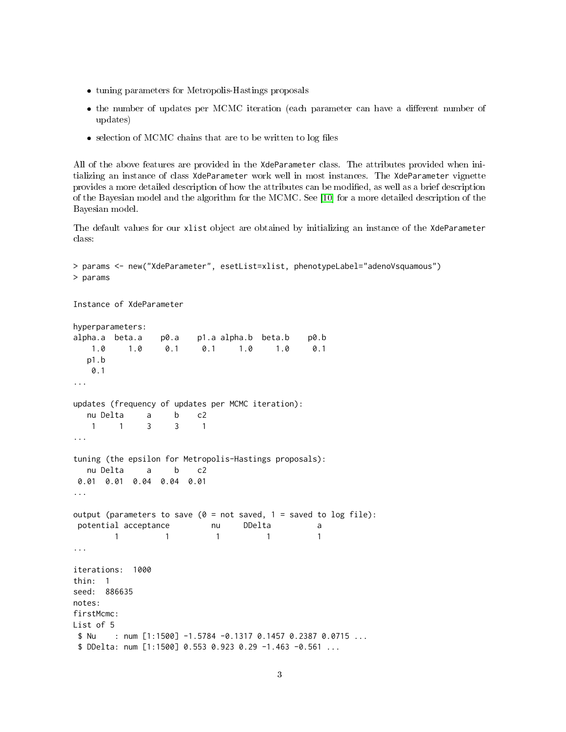- tuning parameters for Metropolis-Hastings proposals
- the number of updates per MCMC iteration (each parameter can have a different number of updates)
- $\bullet$  selection of MCMC chains that are to be written to log files

All of the above features are provided in the XdeParameter class. The attributes provided when initializing an instance of class XdeParameter work well in most instances. The XdeParameter vignette provides a more detailed description of how the attributes can be modified, as well as a brief description of the Bayesian model and the algorithm for the MCMC. See [\[10\]](#page-13-0) for a more detailed description of the Bayesian model.

The default values for our xlist object are obtained by initializing an instance of the XdeParameter class:

```
> params <- new("XdeParameter", esetList=xlist, phenotypeLabel="adenoVsquamous")
> params
Instance of XdeParameter
hyperparameters:
alpha.a beta.a p0.a p1.a alpha.b beta.b p0.b
   1.0 1.0 0.1 0.1 1.0 1.0 0.1
  p1.b
   0.1
...
updates (frequency of updates per MCMC iteration):
  nu Delta a b c2
   1 1 3 3 1
...
tuning (the epsilon for Metropolis-Hastings proposals):
  nu Delta a b c2
 0.01 0.01 0.04 0.04 0.01
...
output (parameters to save (0 = not saved, 1 = saved to log file):
potential acceptance and DDelta and a
        1 1 1 1 1
...
iterations: 1000
thin: 1
seed: 886635
notes:
firstMcmc:
List of 5
 $ Nu : num [1:1500] -1.5784 -0.1317 0.1457 0.2387 0.0715 ...
 $ DDelta: num [1:1500] 0.553 0.923 0.29 -1.463 -0.561 ...
```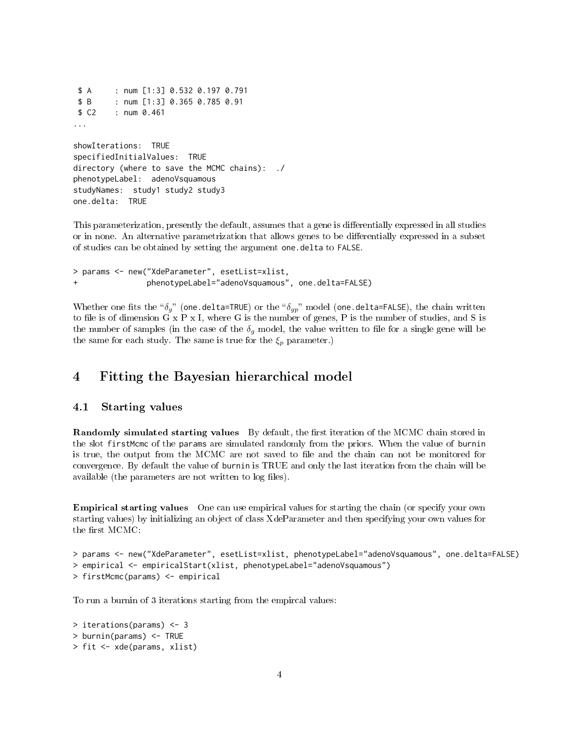```
$ A : num [1:3] 0.532 0.197 0.791
 $ B : num [1:3] 0.365 0.785 0.91
 $ C2 : num 0.461
...
showIterations: TRUE
specifiedInitialValues: TRUE
directory (where to save the MCMC chains): ./
phenotypeLabel: adenoVsquamous
studyNames: study1 study2 study3
one.delta: TRUE
```
This parameterization, presently the default, assumes that a gene is differentially expressed in all studies or in none. An alternative parametrization that allows genes to be differentially expressed in a subset of studies can be obtained by setting the argument one.delta to FALSE.

```
> params <- new("XdeParameter", esetList=xlist,
                phenotypeLabel="adenoVsquamous", one.delta=FALSE)
```
Whether one fits the " $\delta_g$ " (one.delta=TRUE) or the " $\delta_{gp}$ " model (one.delta=FALSE), the chain written to file is of dimension G x P x I, where G is the number of genes, P is the number of studies, and S is the number of samples (in the case of the  $\delta_q$  model, the value written to file for a single gene will be the same for each study. The same is true for the  $\xi_p$  parameter.)

### 4 Fitting the Bayesian hierarchical model

#### 4.1 Starting values

Randomly simulated starting values By default, the first iteration of the MCMC chain stored in the slot firstMcmc of the params are simulated randomly from the priors. When the value of burnin is true, the output from the MCMC are not saved to file and the chain can not be monitored for convergence. By default the value of burnin is TRUE and only the last iteration from the chain will be available (the parameters are not written to log files).

Empirical starting values One can use empirical values for starting the chain (or specify your own starting values) by initializing an object of class XdeParameter and then specifying your own values for the first MCMC:

```
> params <- new("XdeParameter", esetList=xlist, phenotypeLabel="adenoVsquamous", one.delta=FALSE)
> empirical <- empiricalStart(xlist, phenotypeLabel="adenoVsquamous")
> firstMcmc(params) <- empirical
```
To run a burnin of 3 iterations starting from the empircal values:

```
> iterations(params) <- 3
> burnin(params) <- TRUE
> fit <- xde(params, xlist)
```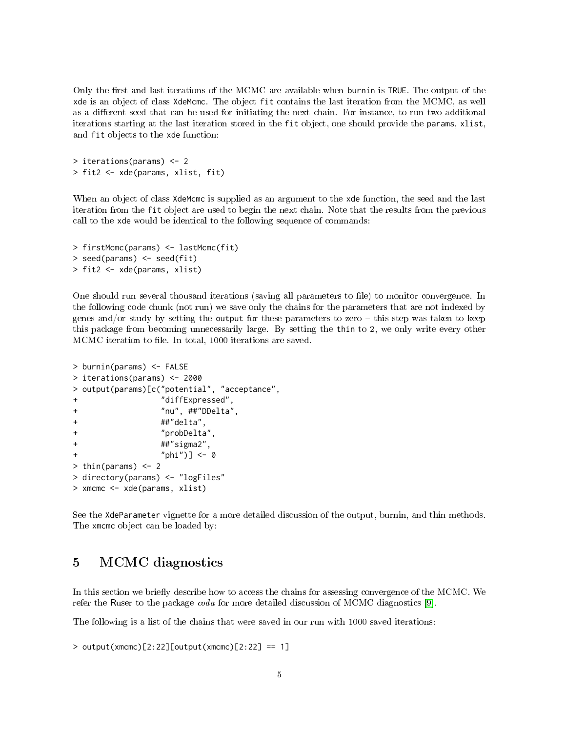Only the first and last iterations of the MCMC are available when burnin is TRUE. The output of the xde is an object of class XdeMcmc. The object fit contains the last iteration from the MCMC, as well as a different seed that can be used for initiating the next chain. For instance, to run two additional iterations starting at the last iteration stored in the fit object, one should provide the params, xlist, and fit objects to the xde function:

> iterations(params) <- 2 > fit2 <- xde(params, xlist, fit)

When an object of class XdeMcmc is supplied as an argument to the xde function, the seed and the last iteration from the fit object are used to begin the next chain. Note that the results from the previous call to the xde would be identical to the following sequence of commands:

```
> firstMcmc(params) <- lastMcmc(fit)
> seed(params) <- seed(fit)
> fit2 <- xde(params, xlist)
```
One should run several thousand iterations (saving all parameters to file) to monitor convergence. In the following code chunk (not run) we save only the chains for the parameters that are not indexed by genes and/or study by setting the output for these parameters to zero  $-$  this step was taken to keep this package from becoming unnecessarily large. By setting the thin to 2, we only write every other MCMC iteration to file. In total, 1000 iterations are saved.

```
> burnin(params) <- FALSE
> iterations(params) <- 2000
> output(params)[c("potential", "acceptance",
               + "diffExpressed",
+ "nu", ##"DDelta",
+ ##"delta",
+ "probDelta",
+ ##"sigma2",
+ "phi")] <- 0
> thin(params) <- 2
> directory(params) <- "logFiles"
> xmcmc <- xde(params, xlist)
```
See the XdeParameter vignette for a more detailed discussion of the output, burnin, and thin methods. The xmcmc object can be loaded by:

# 5 MCMC diagnostics

In this section we briefly describe how to access the chains for assessing convergence of the MCMC. We refer the Ruser to the package coda for more detailed discussion of MCMC diagnostics [\[9\]](#page-12-7).

The following is a list of the chains that were saved in our run with 1000 saved iterations:

```
> output(xmcmc)[2:22][output(xmcmc)[2:22] == 1]
```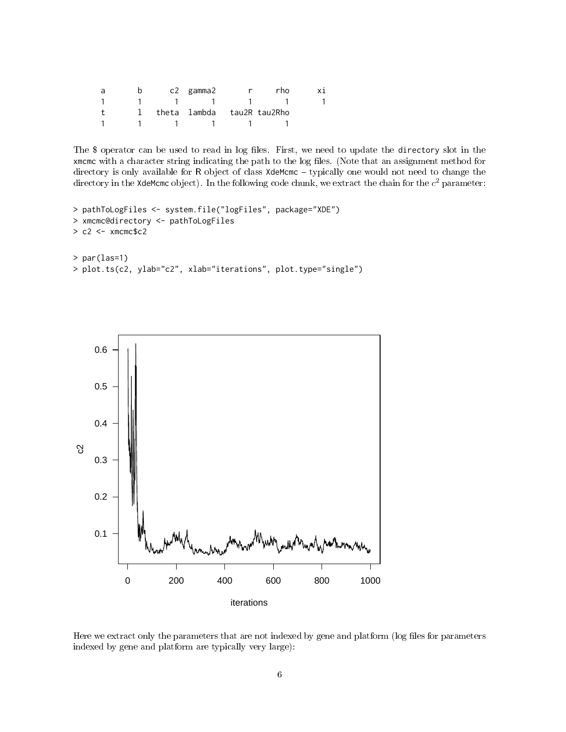| a | b | c2 gamma2                    |              | rho |  |
|---|---|------------------------------|--------------|-----|--|
|   |   |                              | $\mathbf{1}$ |     |  |
|   |   | 1 theta lambda tau2R tau2Rho |              |     |  |
|   |   |                              |              |     |  |

The \$ operator can be used to read in log files. First, we need to update the directory slot in the xmcmc with a character string indicating the path to the log files. (Note that an assignment method for directory is only available for R object of class XdeMcmc - typically one would not need to change the directory in the **XdeMcmc** object). In the following code chunk, we extract the chain for the  $c^2$  parameter:

```
> pathToLogFiles <- system.file("logFiles", package="XDE")
> xmcmc@directory <- pathToLogFiles
> c2 < -x xmcmc$c2
> par(las=1)
> plot.ts(c2, ylab="c2", xlab="iterations", plot.type="single")
```


Here we extract only the parameters that are not indexed by gene and platform (log files for parameters indexed by gene and platform are typically very large):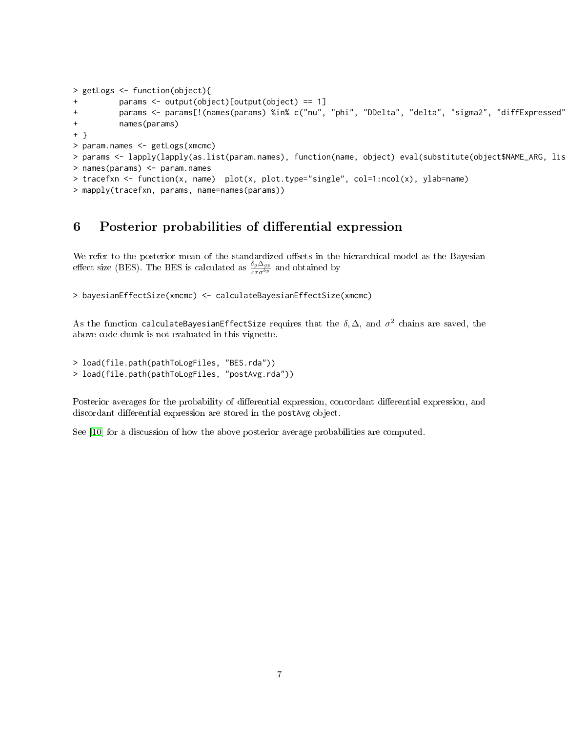```
> getLogs <- function(object){
          params \leq output(object)[output(object) == 1]
+ params <- params[!(names(params) %in% c("nu", "phi", "DDelta", "delta", "sigma2", "diffExpressed"))]
+ names(params)
+ }
> param.names <- getLogs(xmcmc)
> params <- lapply(lapply(as.list(param.names), function(name, object) eval(substitute(object$NAME_ARG, lis
> names(params) <- param.names
> tracefxn <- function(x, name) plot(x, plot.type="single", col=1:ncol(x), ylab=name)
> mapply(tracefxn, params, name=names(params))
```
# 6 Posterior probabilities of differential expression

We refer to the posterior mean of the standardized offsets in the hierarchical model as the Bayesian effect size (BES). The BES is calculated as  $\frac{\delta_g \Delta_{gp}}{c\tau \sigma^{b_p}}$  and obtained by

```
> bayesianEffectSize(xmcmc) <- calculateBayesianEffectSize(xmcmc)
```
As the function calculateBayesianEffectSize requires that the  $\delta, \Delta,$  and  $\sigma^2$  chains are saved, the above code chunk is not evaluated in this vignette.

```
> load(file.path(pathToLogFiles, "BES.rda"))
> load(file.path(pathToLogFiles, "postAvg.rda"))
```
Posterior averages for the probability of differential expression, concordant differential expression, and discordant differential expression are stored in the postAvg object.

See [\[10\]](#page-13-0) for a discussion of how the above posterior average probabilities are computed.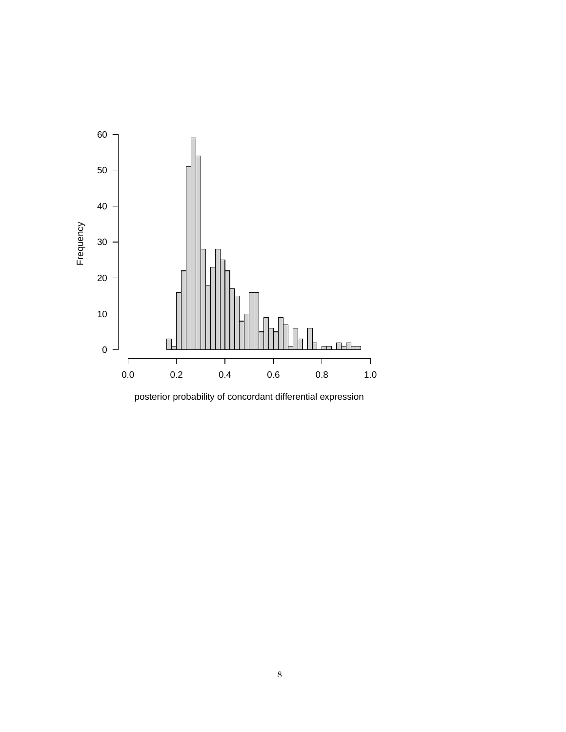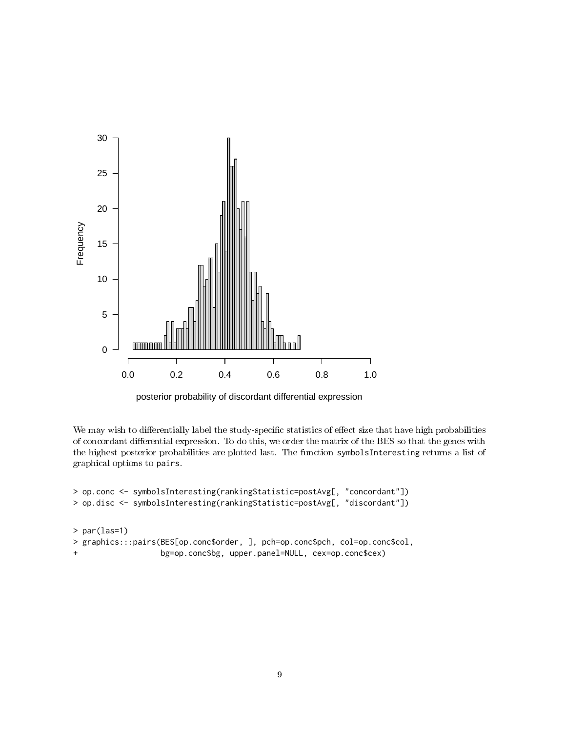

posterior probability of discordant differential expression

We may wish to differentially label the study-specific statistics of effect size that have high probabilities of concordant differential expression. To do this, we order the matrix of the BES so that the genes with the highest posterior probabilities are plotted last. The function symbolsInteresting returns a list of graphical options to pairs.

```
> op.conc <- symbolsInteresting(rankingStatistic=postAvg[, "concordant"])
> op.disc <- symbolsInteresting(rankingStatistic=postAvg[, "discordant"])
> par(las=1)
> graphics:::pairs(BES[op.conc$order, ], pch=op.conc$pch, col=op.conc$col,
+ bg=op.conc$bg, upper.panel=NULL, cex=op.conc$cex)
```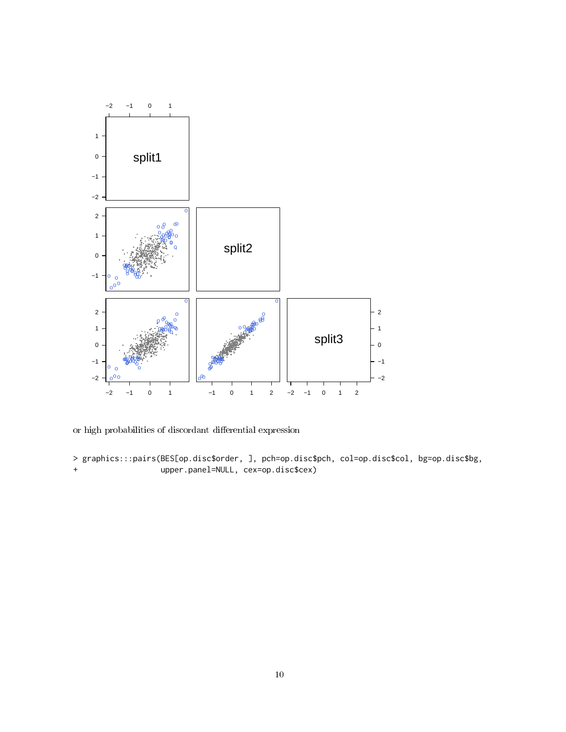

or high probabilities of discordant differential expression

> graphics:::pairs(BES[op.disc\$order, ], pch=op.disc\$pch, col=op.disc\$col, bg=op.disc\$bg, + upper.panel=NULL, cex=op.disc\$cex)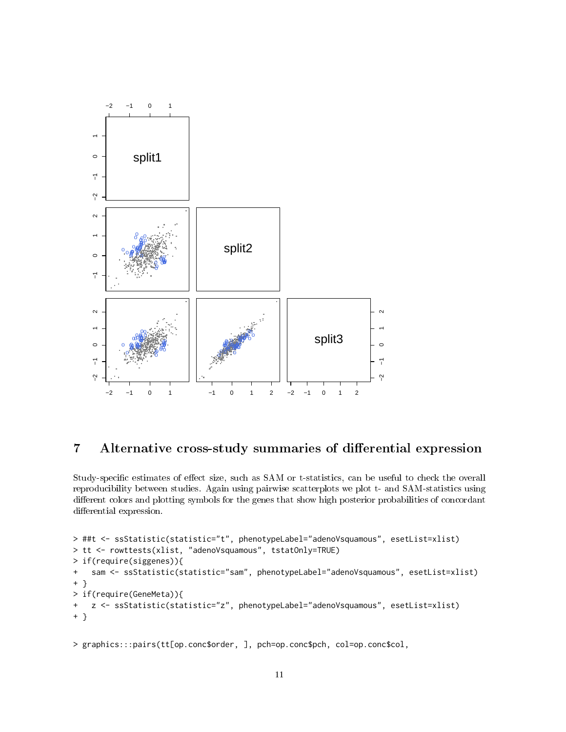

# 7 Alternative cross-study summaries of differential expression

Study-specific estimates of effect size, such as SAM or t-statistics, can be useful to check the overall reproducibility between studies. Again using pairwise scatterplots we plot t- and SAM-statistics using different colors and plotting symbols for the genes that show high posterior probabilities of concordant differential expression.

```
> ##t <- ssStatistic(statistic="t", phenotypeLabel="adenoVsquamous", esetList=xlist)
> tt <- rowttests(xlist, "adenoVsquamous", tstatOnly=TRUE)
> if(require(siggenes)){
+ sam <- ssStatistic(statistic="sam", phenotypeLabel="adenoVsquamous", esetList=xlist)
+ }
> if(require(GeneMeta)){
+ z <- ssStatistic(statistic="z", phenotypeLabel="adenoVsquamous", esetList=xlist)
+ }
```

```
> graphics:::pairs(tt[op.conc$order, ], pch=op.conc$pch, col=op.conc$col,
```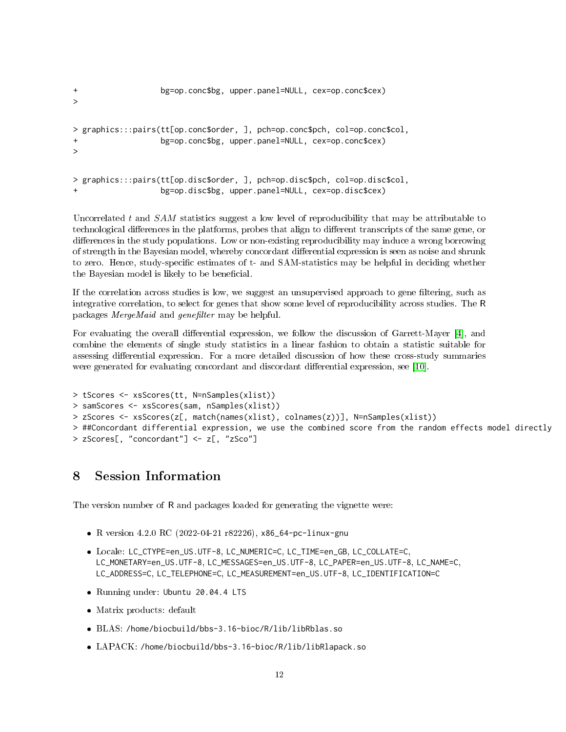```
+ bg=op.conc$bg, upper.panel=NULL, cex=op.conc$cex)
\ddot{\phantom{1}}> graphics:::pairs(tt[op.conc$order, ], pch=op.conc$pch, col=op.conc$col,
                   + bg=op.conc$bg, upper.panel=NULL, cex=op.conc$cex)
>
> graphics:::pairs(tt[op.disc$order, ], pch=op.disc$pch, col=op.disc$col,
                   + bg=op.disc$bg, upper.panel=NULL, cex=op.disc$cex)
```
Uncorrelated t and  $SAM$  statistics suggest a low level of reproducibility that may be attributable to technological differences in the platforms, probes that align to different transcripts of the same gene, or differences in the study populations. Low or non-existing reproducibility may induce a wrong borrowing of strength in the Bayesian model, whereby concordant differential expression is seen as noise and shrunk to zero. Hence, study-specific estimates of t- and SAM-statistics may be helpful in deciding whether the Bayesian model is likely to be beneficial.

If the correlation across studies is low, we suggest an unsupervised approach to gene filtering, such as integrative correlation, to select for genes that show some level of reproducibility across studies. The R packages MergeMaid and genefilter may be helpful.

For evaluating the overall differential expression, we follow the discussion of Garrett-Mayer  $[4]$ , and combine the elements of single study statistics in a linear fashion to obtain a statistic suitable for assessing differential expression. For a more detailed discussion of how these cross-study summaries were generated for evaluating concordant and discordant differential expression, see [\[10\]](#page-13-0).

```
> tScores <- xsScores(tt, N=nSamples(xlist))
> samScores <- xsScores(sam, nSamples(xlist))
> zScores <- xsScores(z[, match(names(xlist), colnames(z))], N=nSamples(xlist))
> ##Concordant differential expression, we use the combined score from the random effects model directly
> zScores[, "concordant"] <- z[, "zSco"]
```
# 8 Session Information

The version number of R and packages loaded for generating the vignette were:

- R version 4.2.0 RC (2022-04-21 r82226), x86\_64-pc-linux-gnu
- Locale: LC\_CTYPE=en\_US.UTF-8, LC\_NUMERIC=C, LC\_TIME=en\_GB, LC\_COLLATE=C, LC\_MONETARY=en\_US.UTF-8, LC\_MESSAGES=en\_US.UTF-8, LC\_PAPER=en\_US.UTF-8, LC\_NAME=C, LC\_ADDRESS=C, LC\_TELEPHONE=C, LC\_MEASUREMENT=en\_US.UTF-8, LC\_IDENTIFICATION=C
- Running under: Ubuntu 20.04.4 LTS
- Matrix products: default
- BLAS: /home/biocbuild/bbs-3.16-bioc/R/lib/libRblas.so
- LAPACK: /home/biocbuild/bbs-3.16-bioc/R/lib/libRlapack.so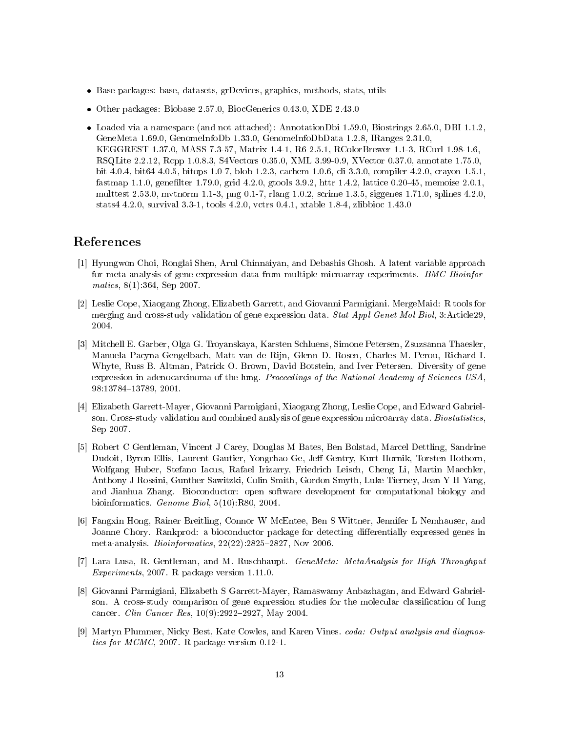- Base packages: base, datasets, grDevices, graphics, methods, stats, utils
- Other packages: Biobase 2.57.0, BiocGenerics 0.43.0, XDE 2.43.0
- Loaded via a namespace (and not attached): AnnotationDbi 1.59.0, Biostrings 2.65.0, DBI 1.1.2, GeneMeta 1.69.0, GenomeInfoDb 1.33.0, GenomeInfoDbData 1.2.8, IRanges 2.31.0, KEGGREST 1.37.0, MASS 7.3-57, Matrix 1.4-1, R6 2.5.1, RColorBrewer 1.1-3, RCurl 1.98-1.6, RSQLite 2.2.12, Rcpp 1.0.8.3, S4Vectors 0.35.0, XML 3.99-0.9, XVector 0.37.0, annotate 1.75.0, bit 4.0.4, bit64 4.0.5, bitops 1.0-7, blob 1.2.3, cachem 1.0.6, cli 3.3.0, compiler 4.2.0, crayon 1.5.1, fastmap 1.1.0, genefilter 1.79.0, grid 4.2.0, gtools  $3.9.2$ , httr 1.4.2, lattice 0.20-45, memoise 2.0.1, multtest 2.53.0, mvtnorm 1.1-3, png 0.1-7, rlang 1.0.2, scrime 1.3.5, siggenes 1.71.0, splines 4.2.0, stats4 4.2.0, survival 3.3-1, tools 4.2.0, vctrs 0.4.1, xtable 1.8-4, zlibbioc 1.43.0

### References

- <span id="page-12-1"></span>[1] Hyungwon Choi, Ronglai Shen, Arul Chinnaiyan, and Debashis Ghosh. A latent variable approach for meta-analysis of gene expression data from multiple microarray experiments. BMC Bioinformatics, 8(1):364, Sep 2007.
- <span id="page-12-4"></span>[2] Leslie Cope, Xiaogang Zhong, Elizabeth Garrett, and Giovanni Parmigiani. MergeMaid: R tools for merging and cross-study validation of gene expression data. Stat Appl Genet Mol Biol, 3: Article29, 2004.
- <span id="page-12-5"></span>[3] Mitchell E. Garber, Olga G. Troyanskaya, Karsten Schluens, Simone Petersen, Zsuzsanna Thaesler, Manuela Pacyna-Gengelbach, Matt van de Rijn, Glenn D. Rosen, Charles M. Perou, Richard I. Whyte, Russ B. Altman, Patrick O. Brown, David Botstein, and Iver Petersen. Diversity of gene expression in adenocarcinoma of the lung. Proceedings of the National Academy of Sciences USA, 98:13784-13789, 2001.
- <span id="page-12-8"></span>[4] Elizabeth Garrett-Mayer, Giovanni Parmigiani, Xiaogang Zhong, Leslie Cope, and Edward Gabrielson. Cross-study validation and combined analysis of gene expression microarray data. Biostatistics, Sep 2007.
- <span id="page-12-3"></span>[5] Robert C Gentleman, Vincent J Carey, Douglas M Bates, Ben Bolstad, Marcel Dettling, Sandrine Dudoit, Byron Ellis, Laurent Gautier, Yongchao Ge, Jeff Gentry, Kurt Hornik, Torsten Hothorn. Wolfgang Huber, Stefano Iacus, Rafael Irizarry, Friedrich Leisch, Cheng Li, Martin Maechler, Anthony J Rossini, Gunther Sawitzki, Colin Smith, Gordon Smyth, Luke Tierney, Jean Y H Yang, and Jianhua Zhang. Bioconductor: open software development for computational biology and bioinformatics. Genome Biol, 5(10):R80, 2004.
- <span id="page-12-2"></span>[6] Fangxin Hong, Rainer Breitling, Connor W McEntee, Ben S Wittner, Jennifer L Nemhauser, and Joanne Chory. Rankprod: a bioconductor package for detecting differentially expressed genes in meta-analysis. *Bioinformatics*,  $22(22):2825-2827$ , Nov 2006.
- <span id="page-12-0"></span>[7] Lara Lusa, R. Gentleman, and M. Ruschhaupt. GeneMeta: MetaAnalysis for High Throughput Experiments, 2007. R package version 1.11.0.
- <span id="page-12-6"></span>[8] Giovanni Parmigiani, Elizabeth S Garrett-Mayer, Ramaswamy Anbazhagan, and Edward Gabrielson. A cross-study comparison of gene expression studies for the molecular classification of lung cancer. *Clin Cancer Res*,  $10(9)$ : 2922-2927, May 2004.
- <span id="page-12-7"></span>[9] Martyn Plummer, Nicky Best, Kate Cowles, and Karen Vines. coda: Output analysis and diagnostics for MCMC, 2007. R package version 0.12-1.